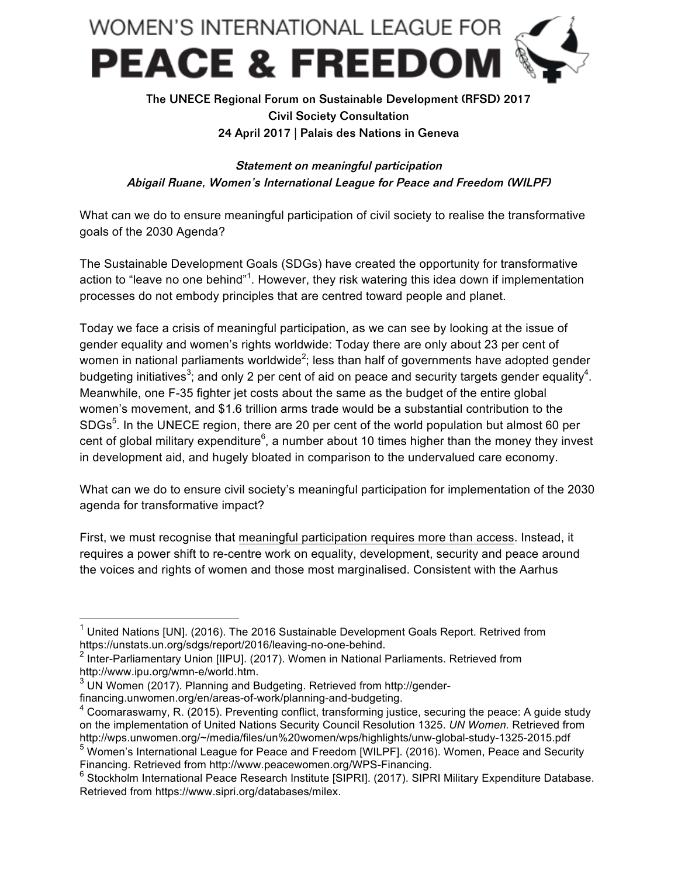

## The UNECE Regional Forum on Sustainable Development (RFSD) 2017 Civil Society Consultation 24 April 2017 | Palais des Nations in Geneva

Statement on meaningful participation Abigail Ruane, Women's International League for Peace and Freedom (WILPF)

What can we do to ensure meaningful participation of civil society to realise the transformative goals of the 2030 Agenda?

The Sustainable Development Goals (SDGs) have created the opportunity for transformative action to "leave no one behind"<sup>1</sup>. However, they risk watering this idea down if implementation processes do not embody principles that are centred toward people and planet.

Today we face a crisis of meaningful participation, as we can see by looking at the issue of gender equality and women's rights worldwide: Today there are only about 23 per cent of women in national parliaments worldwide<sup>2</sup>; less than half of governments have adopted gender budgeting initiatives<sup>3</sup>; and only 2 per cent of aid on peace and security targets gender equality<sup>4</sup>. Meanwhile, one F-35 fighter jet costs about the same as the budget of the entire global women's movement, and \$1.6 trillion arms trade would be a substantial contribution to the SDGs<sup>5</sup>. In the UNECE region, there are 20 per cent of the world population but almost 60 per cent of global military expenditure<sup>6</sup>, a number about 10 times higher than the money they invest in development aid, and hugely bloated in comparison to the undervalued care economy.

What can we do to ensure civil society's meaningful participation for implementation of the 2030 agenda for transformative impact?

First, we must recognise that meaningful participation requires more than access. Instead, it requires a power shift to re-centre work on equality, development, security and peace around the voices and rights of women and those most marginalised. Consistent with the Aarhus

 $1$  United Nations [UN]. (2016). The 2016 Sustainable Development Goals Report. Retrived from https://unstats.un.org/sdgs/report/2016/leaving-no-one-behind.

 $2$  Inter-Parliamentary Union [IIPU]. (2017). Women in National Parliaments. Retrieved from http://www.ipu.org/wmn-e/world.htm.

<sup>&</sup>lt;sup>3</sup> UN Women (2017). Planning and Budgeting. Retrieved from http://gender-

financing.unwomen.org/en/areas-of-work/planning-and-budgeting.

 $<sup>4</sup>$  Coomaraswamy, R. (2015). Preventing conflict, transforming justice, securing the peace: A guide study</sup> on the implementation of United Nations Security Council Resolution 1325. *UN Women.* Retrieved from http://wps.unwomen.org/~/media/files/un%20women/wps/highlights/unw-global-study-1325-2015.pdf <sup>5</sup> Women's International League for Peace and Freedom [WILPF]. (2016). Women, Peace and Security Financing. Retrieved from http://www.peacewomen.org/WPS-Financing.

<sup>&</sup>lt;sup>6</sup> Stockholm International Peace Research Institute [SIPRI]. (2017). SIPRI Military Expenditure Database. Retrieved from https://www.sipri.org/databases/milex.